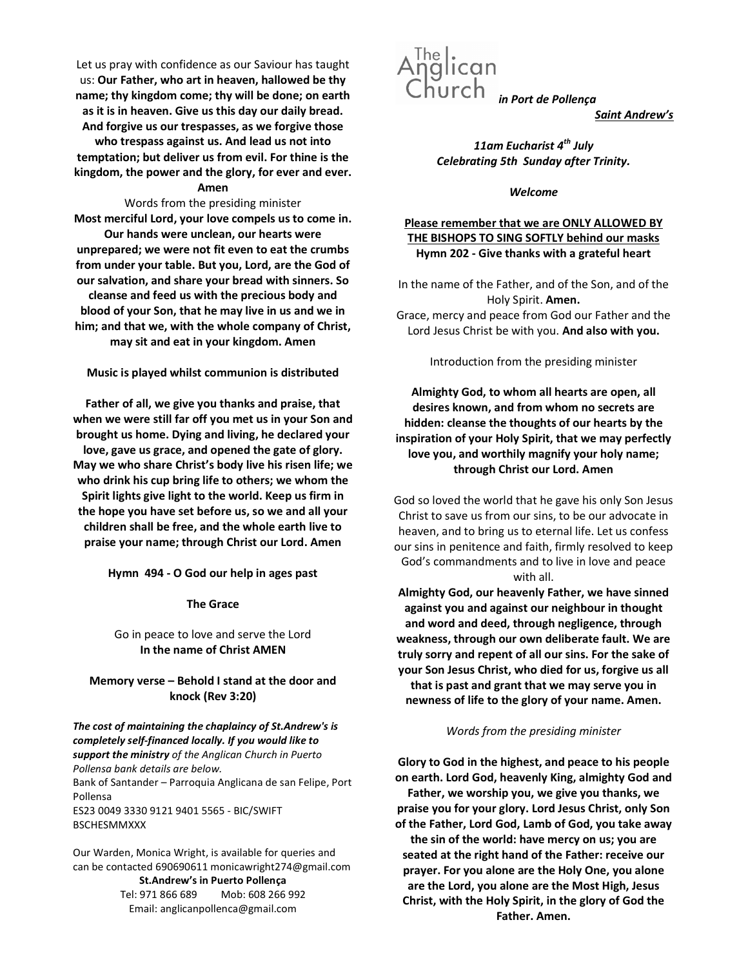Let us pray with confidence as our Saviour has taught us: Our Father, who art in heaven, hallowed be thy name; thy kingdom come; thy will be done; on earth as it is in heaven. Give us this day our daily bread. And forgive us our trespasses, as we forgive those who trespass against us. And lead us not into temptation; but deliver us from evil. For thine is the kingdom, the power and the glory, for ever and ever.

### Amen

Words from the presiding minister Most merciful Lord, your love compels us to come in. Our hands were unclean, our hearts were unprepared; we were not fit even to eat the crumbs from under your table. But you, Lord, are the God of our salvation, and share your bread with sinners. So cleanse and feed us with the precious body and blood of your Son, that he may live in us and we in him; and that we, with the whole company of Christ, may sit and eat in your kingdom. Amen

Music is played whilst communion is distributed

Father of all, we give you thanks and praise, that when we were still far off you met us in your Son and brought us home. Dying and living, he declared your love, gave us grace, and opened the gate of glory. May we who share Christ's body live his risen life; we who drink his cup bring life to others; we whom the Spirit lights give light to the world. Keep us firm in the hope you have set before us, so we and all your children shall be free, and the whole earth live to praise your name; through Christ our Lord. Amen

Hymn 494 - O God our help in ages past

The Grace

### Go in peace to love and serve the Lord In the name of Christ AMEN

# Memory verse – Behold I stand at the door and knock (Rev 3:20)

The cost of maintaining the chaplaincy of St.Andrew's is completely self-financed locally. If you would like to support the ministry of the Anglican Church in Puerto Pollensa bank details are below. Bank of Santander – Parroquia Anglicana de san Felipe, Port Pollensa

ES23 0049 3330 9121 9401 5565 - BIC/SWIFT BSCHESMMXXX

Our Warden, Monica Wright, is available for queries and can be contacted 690690611 monicawright274@gmail.com St.Andrew's in Puerto Pollença Tel: 971 866 689 Mob: 608 266 992 Email: anglicanpollenca@gmail.com



Saint Andrew's

11am Eucharist  $4^{th}$  July Celebrating 5th Sunday after Trinity.

Welcome

# Please remember that we are ONLY ALLOWED BY THE BISHOPS TO SING SOFTLY behind our masks Hymn 202 - Give thanks with a grateful heart

In the name of the Father, and of the Son, and of the Holy Spirit. Amen. Grace, mercy and peace from God our Father and the Lord Jesus Christ be with you. And also with you.

Introduction from the presiding minister

Almighty God, to whom all hearts are open, all desires known, and from whom no secrets are hidden: cleanse the thoughts of our hearts by the inspiration of your Holy Spirit, that we may perfectly love you, and worthily magnify your holy name; through Christ our Lord. Amen

God so loved the world that he gave his only Son Jesus Christ to save us from our sins, to be our advocate in heaven, and to bring us to eternal life. Let us confess our sins in penitence and faith, firmly resolved to keep God's commandments and to live in love and peace with all.

Almighty God, our heavenly Father, we have sinned against you and against our neighbour in thought and word and deed, through negligence, through weakness, through our own deliberate fault. We are truly sorry and repent of all our sins. For the sake of your Son Jesus Christ, who died for us, forgive us all that is past and grant that we may serve you in newness of life to the glory of your name. Amen.

#### Words from the presiding minister

Glory to God in the highest, and peace to his people on earth. Lord God, heavenly King, almighty God and Father, we worship you, we give you thanks, we praise you for your glory. Lord Jesus Christ, only Son of the Father, Lord God, Lamb of God, you take away the sin of the world: have mercy on us; you are seated at the right hand of the Father: receive our prayer. For you alone are the Holy One, you alone are the Lord, you alone are the Most High, Jesus Christ, with the Holy Spirit, in the glory of God the Father. Amen.